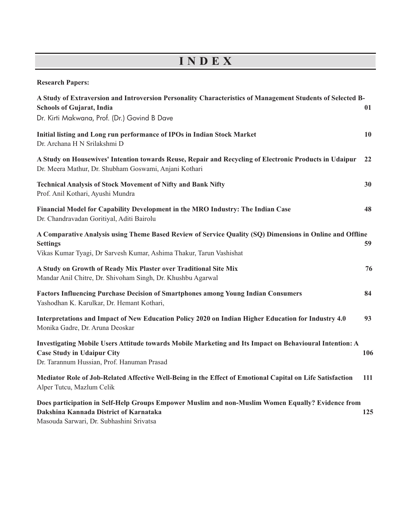## **I N D E X**

| <b>Research Papers:</b>                                                                                                                                                                            |     |
|----------------------------------------------------------------------------------------------------------------------------------------------------------------------------------------------------|-----|
| A Study of Extraversion and Introversion Personality Characteristics of Management Students of Selected B-<br><b>Schools of Gujarat, India</b><br>Dr. Kirti Makwana, Prof. (Dr.) Govind B Dave     | 01  |
| Initial listing and Long run performance of IPOs in Indian Stock Market<br>Dr. Archana H N Srilakshmi D                                                                                            | 10  |
| A Study on Housewives' Intention towards Reuse, Repair and Recycling of Electronic Products in Udaipur<br>Dr. Meera Mathur, Dr. Shubham Goswami, Anjani Kothari                                    | 22  |
| <b>Technical Analysis of Stock Movement of Nifty and Bank Nifty</b><br>Prof. Anil Kothari, Ayushi Mundra                                                                                           | 30  |
| Financial Model for Capability Development in the MRO Industry: The Indian Case<br>Dr. Chandravadan Goritiyal, Aditi Bairolu                                                                       | 48  |
| A Comparative Analysis using Theme Based Review of Service Quality (SQ) Dimensions in Online and Offline<br><b>Settings</b><br>Vikas Kumar Tyagi, Dr Sarvesh Kumar, Ashima Thakur, Tarun Vashishat | 59  |
| A Study on Growth of Ready Mix Plaster over Traditional Site Mix<br>Mandar Anil Chitre, Dr. Shivoham Singh, Dr. Khushbu Agarwal                                                                    | 76  |
| Factors Influencing Purchase Decision of Smartphones among Young Indian Consumers<br>Yashodhan K. Karulkar, Dr. Hemant Kothari,                                                                    | 84  |
| Interpretations and Impact of New Education Policy 2020 on Indian Higher Education for Industry 4.0<br>Monika Gadre, Dr. Aruna Deoskar                                                             | 93  |
| Investigating Mobile Users Attitude towards Mobile Marketing and Its Impact on Behavioural Intention: A<br><b>Case Study in Udaipur City</b><br>Dr. Tarannum Hussian, Prof. Hanuman Prasad         | 106 |
| Mediator Role of Job-Related Affective Well-Being in the Effect of Emotional Capital on Life Satisfaction<br>Alper Tutcu, Mazlum Celik                                                             | 111 |
| Does participation in Self-Help Groups Empower Muslim and non-Muslim Women Equally? Evidence from<br>Dakshina Kannada District of Karnataka<br>Masouda Sarwari, Dr. Subhashini Srivatsa            | 125 |